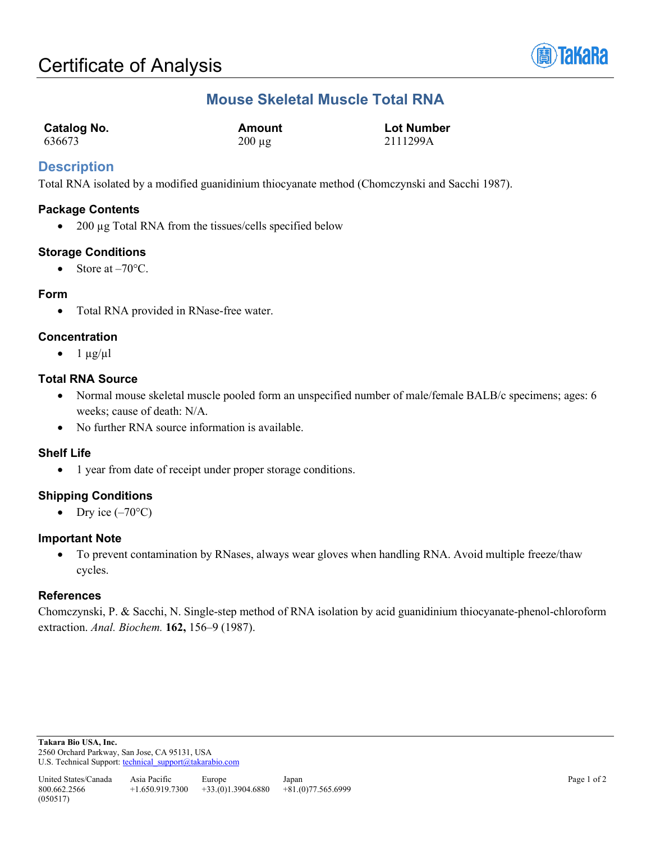

# **Mouse Skeletal Muscle Total RNA**

| <b>Catalog No.</b> | Amount      | <b>Lot Number</b> |
|--------------------|-------------|-------------------|
| 636673             | $200 \mu g$ | 2111299A          |

## **Description**

Total RNA isolated by a modified guanidinium thiocyanate method (Chomczynski and Sacchi 1987).

#### **Package Contents**

• 200 µg Total RNA from the tissues/cells specified below

### **Storage Conditions**

• Store at  $-70^{\circ}$ C.

#### **Form**

• Total RNA provided in RNase-free water.

### **Concentration**

•  $1 \mu g/\mu l$ 

#### **Total RNA Source**

- Normal mouse skeletal muscle pooled form an unspecified number of male/female BALB/c specimens; ages: 6 weeks; cause of death: N/A.
- No further RNA source information is available.

### **Shelf Life**

• 1 year from date of receipt under proper storage conditions.

### **Shipping Conditions**

• Dry ice  $(-70^{\circ}C)$ 

#### **Important Note**

• To prevent contamination by RNases, always wear gloves when handling RNA. Avoid multiple freeze/thaw cycles.

### **References**

Chomczynski, P. & Sacchi, N. Single-step method of RNA isolation by acid guanidinium thiocyanate-phenol-chloroform extraction. *Anal. Biochem.* **162,** 156–9 (1987).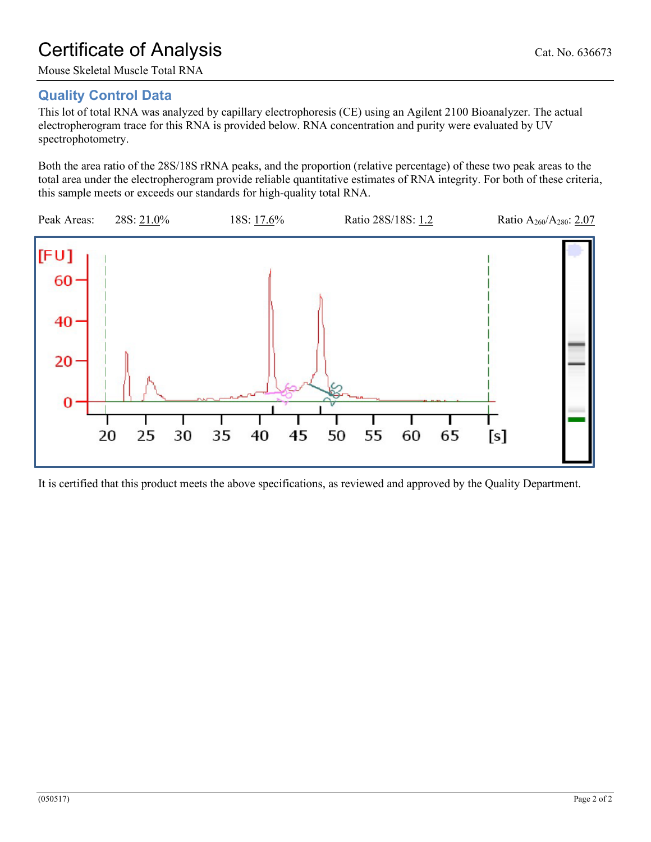# Certificate of Analysis Cat. No. 636673

Mouse Skeletal Muscle Total RNA

# **Quality Control Data**

This lot of total RNA was analyzed by capillary electrophoresis (CE) using an Agilent 2100 Bioanalyzer. The actual electropherogram trace for this RNA is provided below. RNA concentration and purity were evaluated by UV spectrophotometry.

Both the area ratio of the 28S/18S rRNA peaks, and the proportion (relative percentage) of these two peak areas to the total area under the electropherogram provide reliable quantitative estimates of RNA integrity. For both of these criteria, this sample meets or exceeds our standards for high-quality total RNA.



It is certified that this product meets the above specifications, as reviewed and approved by the Quality Department.